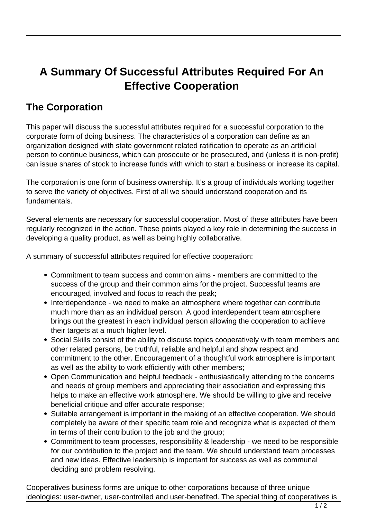## **A Summary Of Successful Attributes Required For An Effective Cooperation**

## **The Corporation**

This paper will discuss the successful attributes required for a successful corporation to the corporate form of doing business. The characteristics of a corporation can define as an organization designed with state government related ratification to operate as an artificial person to continue business, which can prosecute or be prosecuted, and (unless it is non-profit) can issue shares of stock to increase funds with which to start a business or increase its capital.

The corporation is one form of business ownership. It's a group of individuals working together to serve the variety of objectives. First of all we should understand cooperation and its fundamentals.

Several elements are necessary for successful cooperation. Most of these attributes have been regularly recognized in the action. These points played a key role in determining the success in developing a quality product, as well as being highly collaborative.

A summary of successful attributes required for effective cooperation:

- Commitment to team success and common aims members are committed to the success of the group and their common aims for the project. Successful teams are encouraged, involved and focus to reach the peak;
- Interdependence we need to make an atmosphere where together can contribute much more than as an individual person. A good interdependent team atmosphere brings out the greatest in each individual person allowing the cooperation to achieve their targets at a much higher level.
- Social Skills consist of the ability to discuss topics cooperatively with team members and other related persons, be truthful, reliable and helpful and show respect and commitment to the other. Encouragement of a thoughtful work atmosphere is important as well as the ability to work efficiently with other members;
- Open Communication and helpful feedback enthusiastically attending to the concerns and needs of group members and appreciating their association and expressing this helps to make an effective work atmosphere. We should be willing to give and receive beneficial critique and offer accurate response;
- Suitable arrangement is important in the making of an effective cooperation. We should completely be aware of their specific team role and recognize what is expected of them in terms of their contribution to the job and the group;
- Commitment to team processes, responsibility & leadership we need to be responsible for our contribution to the project and the team. We should understand team processes and new ideas. Effective leadership is important for success as well as communal deciding and problem resolving.

Cooperatives business forms are unique to other corporations because of three unique ideologies: user-owner, user-controlled and user-benefited. The special thing of cooperatives is